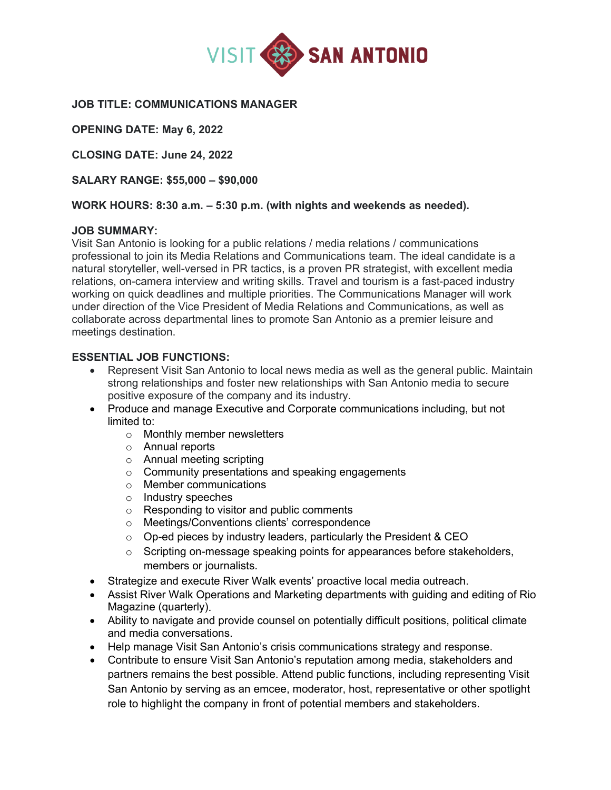

### **JOB TITLE: COMMUNICATIONS MANAGER**

**OPENING DATE: May 6, 2022** 

**CLOSING DATE: June 24, 2022** 

**SALARY RANGE: \$55,000 – \$90,000**

#### **WORK HOURS: 8:30 a.m. – 5:30 p.m. (with nights and weekends as needed).**

#### **JOB SUMMARY:**

Visit San Antonio is looking for a public relations / media relations / communications professional to join its Media Relations and Communications team. The ideal candidate is a natural storyteller, well-versed in PR tactics, is a proven PR strategist, with excellent media relations, on-camera interview and writing skills. Travel and tourism is a fast-paced industry working on quick deadlines and multiple priorities. The Communications Manager will work under direction of the Vice President of Media Relations and Communications, as well as collaborate across departmental lines to promote San Antonio as a premier leisure and meetings destination.

### **ESSENTIAL JOB FUNCTIONS:**

- Represent Visit San Antonio to local news media as well as the general public. Maintain strong relationships and foster new relationships with San Antonio media to secure positive exposure of the company and its industry.
- Produce and manage Executive and Corporate communications including, but not limited to:
	- o Monthly member newsletters
	- o Annual reports
	- o Annual meeting scripting
	- o Community presentations and speaking engagements
	- o Member communications
	- o Industry speeches
	- o Responding to visitor and public comments
	- o Meetings/Conventions clients' correspondence
	- $\circ$  Op-ed pieces by industry leaders, particularly the President & CEO
	- $\circ$  Scripting on-message speaking points for appearances before stakeholders, members or journalists.
- Strategize and execute River Walk events' proactive local media outreach.
- Assist River Walk Operations and Marketing departments with guiding and editing of Rio Magazine (quarterly).
- Ability to navigate and provide counsel on potentially difficult positions, political climate and media conversations.
- Help manage Visit San Antonio's crisis communications strategy and response.
- Contribute to ensure Visit San Antonio's reputation among media, stakeholders and partners remains the best possible. Attend public functions, including representing Visit San Antonio by serving as an emcee, moderator, host, representative or other spotlight role to highlight the company in front of potential members and stakeholders.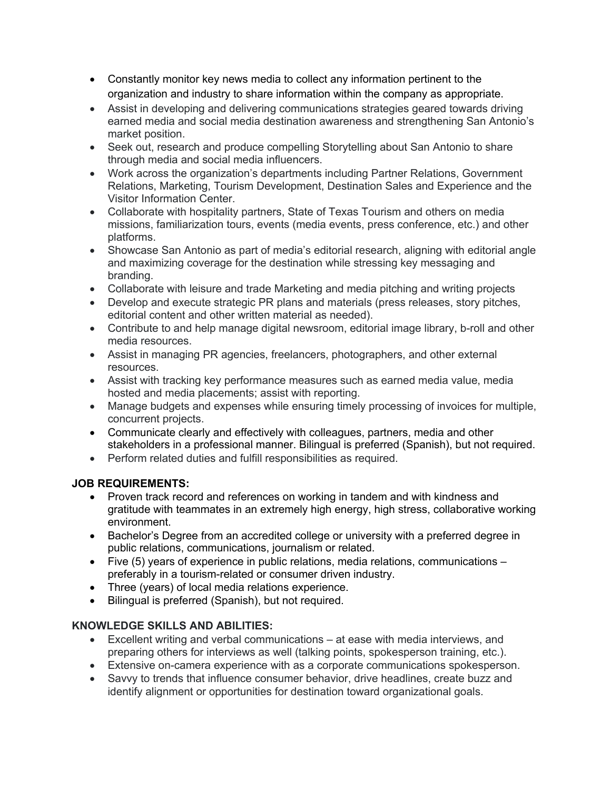- Constantly monitor key news media to collect any information pertinent to the organization and industry to share information within the company as appropriate.
- Assist in developing and delivering communications strategies geared towards driving earned media and social media destination awareness and strengthening San Antonio's market position.
- Seek out, research and produce compelling Storytelling about San Antonio to share through media and social media influencers.
- Work across the organization's departments including Partner Relations, Government Relations, Marketing, Tourism Development, Destination Sales and Experience and the Visitor Information Center.
- Collaborate with hospitality partners, State of Texas Tourism and others on media missions, familiarization tours, events (media events, press conference, etc.) and other platforms.
- Showcase San Antonio as part of media's editorial research, aligning with editorial angle and maximizing coverage for the destination while stressing key messaging and branding.
- Collaborate with leisure and trade Marketing and media pitching and writing projects
- Develop and execute strategic PR plans and materials (press releases, story pitches, editorial content and other written material as needed).
- Contribute to and help manage digital newsroom, editorial image library, b-roll and other media resources.
- Assist in managing PR agencies, freelancers, photographers, and other external resources.
- Assist with tracking key performance measures such as earned media value, media hosted and media placements; assist with reporting.
- Manage budgets and expenses while ensuring timely processing of invoices for multiple, concurrent projects.
- Communicate clearly and effectively with colleagues, partners, media and other stakeholders in a professional manner. Bilingual is preferred (Spanish), but not required.
- Perform related duties and fulfill responsibilities as required.

# **JOB REQUIREMENTS:**

- Proven track record and references on working in tandem and with kindness and gratitude with teammates in an extremely high energy, high stress, collaborative working environment.
- Bachelor's Degree from an accredited college or university with a preferred degree in public relations, communications, journalism or related.
- Five (5) years of experience in public relations, media relations, communications preferably in a tourism-related or consumer driven industry.
- Three (years) of local media relations experience.
- Bilingual is preferred (Spanish), but not required.

# **KNOWLEDGE SKILLS AND ABILITIES:**

- Excellent writing and verbal communications at ease with media interviews, and preparing others for interviews as well (talking points, spokesperson training, etc.).
- Extensive on-camera experience with as a corporate communications spokesperson.
- Savvy to trends that influence consumer behavior, drive headlines, create buzz and identify alignment or opportunities for destination toward organizational goals.